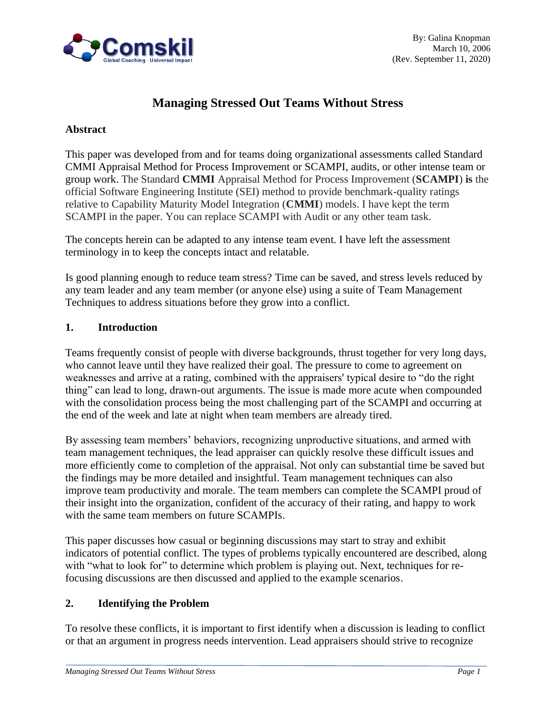

# **Managing Stressed Out Teams Without Stress**

# **Abstract**

This paper was developed from and for teams doing organizational assessments called Standard CMMI Appraisal Method for Process Improvement or SCAMPI, audits, or other intense team or group work. The Standard **CMMI** Appraisal Method for Process Improvement (**SCAMPI**) **is** the official Software Engineering Institute (SEI) method to provide benchmark-quality ratings relative to Capability Maturity Model Integration (**CMMI**) models. I have kept the term SCAMPI in the paper. You can replace SCAMPI with Audit or any other team task.

The concepts herein can be adapted to any intense team event. I have left the assessment terminology in to keep the concepts intact and relatable.

Is good planning enough to reduce team stress? Time can be saved, and stress levels reduced by any team leader and any team member (or anyone else) using a suite of Team Management Techniques to address situations before they grow into a conflict.

# **1. Introduction**

Teams frequently consist of people with diverse backgrounds, thrust together for very long days, who cannot leave until they have realized their goal. The pressure to come to agreement on weaknesses and arrive at a rating, combined with the appraisers' typical desire to "do the right thing" can lead to long, drawn-out arguments. The issue is made more acute when compounded with the consolidation process being the most challenging part of the SCAMPI and occurring at the end of the week and late at night when team members are already tired.

By assessing team members' behaviors, recognizing unproductive situations, and armed with team management techniques, the lead appraiser can quickly resolve these difficult issues and more efficiently come to completion of the appraisal. Not only can substantial time be saved but the findings may be more detailed and insightful. Team management techniques can also improve team productivity and morale. The team members can complete the SCAMPI proud of their insight into the organization, confident of the accuracy of their rating, and happy to work with the same team members on future SCAMPIs.

This paper discusses how casual or beginning discussions may start to stray and exhibit indicators of potential conflict. The types of problems typically encountered are described, along with "what to look for" to determine which problem is playing out. Next, techniques for refocusing discussions are then discussed and applied to the example scenarios.

# **2. Identifying the Problem**

To resolve these conflicts, it is important to first identify when a discussion is leading to conflict or that an argument in progress needs intervention. Lead appraisers should strive to recognize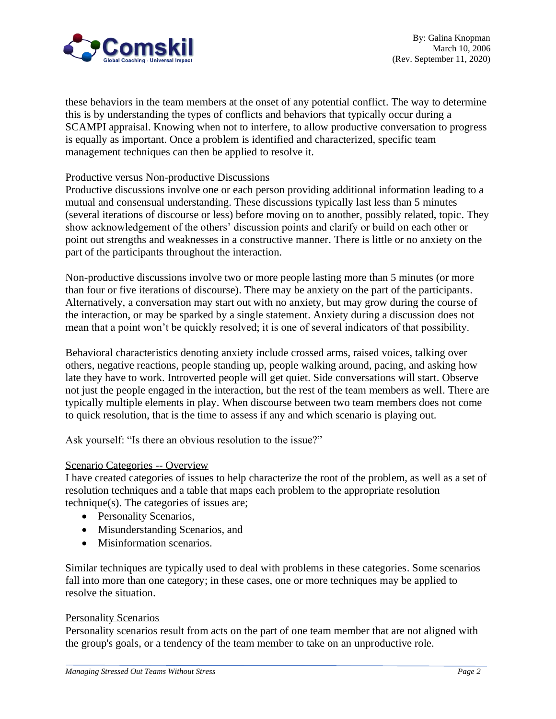

these behaviors in the team members at the onset of any potential conflict. The way to determine this is by understanding the types of conflicts and behaviors that typically occur during a SCAMPI appraisal. Knowing when not to interfere, to allow productive conversation to progress is equally as important. Once a problem is identified and characterized, specific team management techniques can then be applied to resolve it.

# Productive versus Non-productive Discussions

Productive discussions involve one or each person providing additional information leading to a mutual and consensual understanding. These discussions typically last less than 5 minutes (several iterations of discourse or less) before moving on to another, possibly related, topic. They show acknowledgement of the others' discussion points and clarify or build on each other or point out strengths and weaknesses in a constructive manner. There is little or no anxiety on the part of the participants throughout the interaction.

Non-productive discussions involve two or more people lasting more than 5 minutes (or more than four or five iterations of discourse). There may be anxiety on the part of the participants. Alternatively, a conversation may start out with no anxiety, but may grow during the course of the interaction, or may be sparked by a single statement. Anxiety during a discussion does not mean that a point won't be quickly resolved; it is one of several indicators of that possibility.

Behavioral characteristics denoting anxiety include crossed arms, raised voices, talking over others, negative reactions, people standing up, people walking around, pacing, and asking how late they have to work. Introverted people will get quiet. Side conversations will start. Observe not just the people engaged in the interaction, but the rest of the team members as well. There are typically multiple elements in play. When discourse between two team members does not come to quick resolution, that is the time to assess if any and which scenario is playing out.

Ask yourself: "Is there an obvious resolution to the issue?"

# Scenario Categories -- Overview

I have created categories of issues to help characterize the root of the problem, as well as a set of resolution techniques and a table that maps each problem to the appropriate resolution technique(s). The categories of issues are;

- Personality Scenarios,
- Misunderstanding Scenarios, and
- Misinformation scenarios.

Similar techniques are typically used to deal with problems in these categories. Some scenarios fall into more than one category; in these cases, one or more techniques may be applied to resolve the situation.

# Personality Scenarios

Personality scenarios result from acts on the part of one team member that are not aligned with the group's goals, or a tendency of the team member to take on an unproductive role.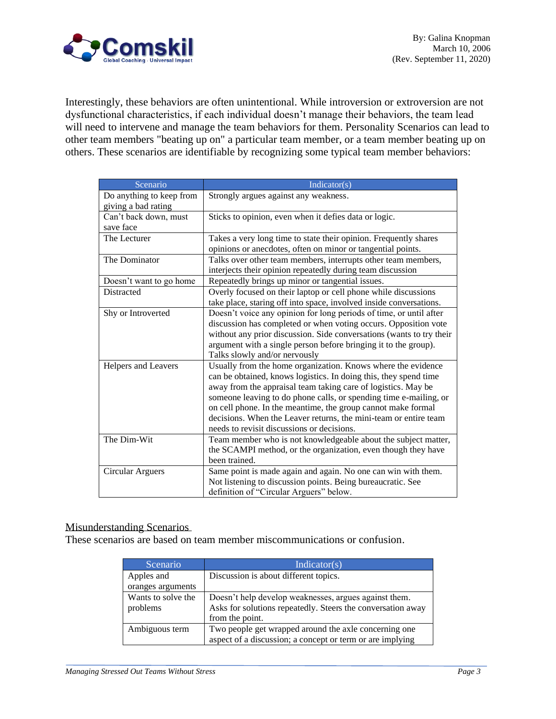

Interestingly, these behaviors are often unintentional. While introversion or extroversion are not dysfunctional characteristics, if each individual doesn't manage their behaviors, the team lead will need to intervene and manage the team behaviors for them. Personality Scenarios can lead to other team members "beating up on" a particular team member, or a team member beating up on others. These scenarios are identifiable by recognizing some typical team member behaviors:

| Scenario                                        | Indicator(s)                                                                                                                                                                                                                                                                                                                                                                                                                                             |  |  |  |  |  |
|-------------------------------------------------|----------------------------------------------------------------------------------------------------------------------------------------------------------------------------------------------------------------------------------------------------------------------------------------------------------------------------------------------------------------------------------------------------------------------------------------------------------|--|--|--|--|--|
| Do anything to keep from<br>giving a bad rating | Strongly argues against any weakness.                                                                                                                                                                                                                                                                                                                                                                                                                    |  |  |  |  |  |
| Can't back down, must<br>save face              | Sticks to opinion, even when it defies data or logic.                                                                                                                                                                                                                                                                                                                                                                                                    |  |  |  |  |  |
| The Lecturer                                    | Takes a very long time to state their opinion. Frequently shares<br>opinions or anecdotes, often on minor or tangential points.                                                                                                                                                                                                                                                                                                                          |  |  |  |  |  |
| The Dominator                                   | Talks over other team members, interrupts other team members,<br>interjects their opinion repeatedly during team discussion                                                                                                                                                                                                                                                                                                                              |  |  |  |  |  |
| Doesn't want to go home                         | Repeatedly brings up minor or tangential issues.                                                                                                                                                                                                                                                                                                                                                                                                         |  |  |  |  |  |
| <b>Distracted</b>                               | Overly focused on their laptop or cell phone while discussions<br>take place, staring off into space, involved inside conversations.                                                                                                                                                                                                                                                                                                                     |  |  |  |  |  |
| Shy or Introverted                              | Doesn't voice any opinion for long periods of time, or until after<br>discussion has completed or when voting occurs. Opposition vote<br>without any prior discussion. Side conversations (wants to try their<br>argument with a single person before bringing it to the group).<br>Talks slowly and/or nervously                                                                                                                                        |  |  |  |  |  |
| Helpers and Leavers                             | Usually from the home organization. Knows where the evidence<br>can be obtained, knows logistics. In doing this, they spend time<br>away from the appraisal team taking care of logistics. May be<br>someone leaving to do phone calls, or spending time e-mailing, or<br>on cell phone. In the meantime, the group cannot make formal<br>decisions. When the Leaver returns, the mini-team or entire team<br>needs to revisit discussions or decisions. |  |  |  |  |  |
| The Dim-Wit                                     | Team member who is not knowledgeable about the subject matter,<br>the SCAMPI method, or the organization, even though they have<br>been trained.                                                                                                                                                                                                                                                                                                         |  |  |  |  |  |
| Circular Arguers                                | Same point is made again and again. No one can win with them.<br>Not listening to discussion points. Being bureaucratic. See<br>definition of "Circular Arguers" below.                                                                                                                                                                                                                                                                                  |  |  |  |  |  |

# Misunderstanding Scenarios

These scenarios are based on team member miscommunications or confusion.

| Scenario           | Indicator(s)                                                |
|--------------------|-------------------------------------------------------------|
| Apples and         | Discussion is about different topics.                       |
| oranges arguments  |                                                             |
| Wants to solve the | Doesn't help develop weaknesses, argues against them.       |
| problems           | Asks for solutions repeatedly. Steers the conversation away |
|                    | from the point.                                             |
| Ambiguous term     | Two people get wrapped around the axle concerning one       |
|                    | aspect of a discussion; a concept or term or are implying   |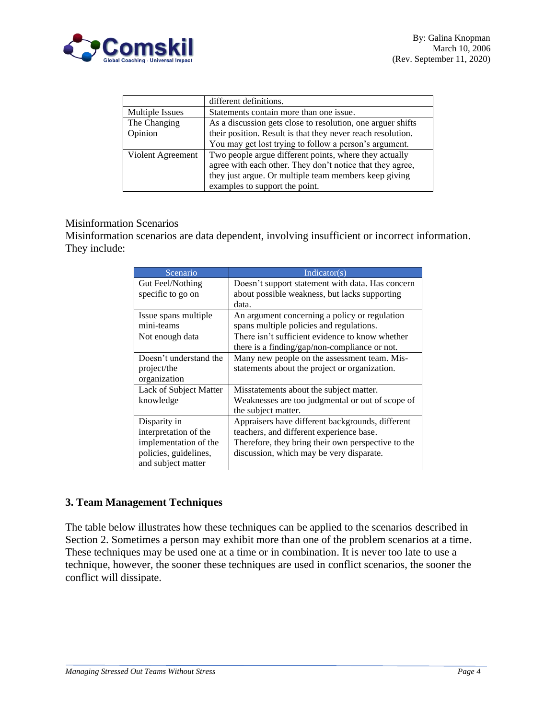

|                   | different definitions.                                      |
|-------------------|-------------------------------------------------------------|
| Multiple Issues   | Statements contain more than one issue.                     |
| The Changing      | As a discussion gets close to resolution, one arguer shifts |
| Opinion           | their position. Result is that they never reach resolution. |
|                   | You may get lost trying to follow a person's argument.      |
| Violent Agreement | Two people argue different points, where they actually      |
|                   | agree with each other. They don't notice that they agree,   |
|                   | they just argue. Or multiple team members keep giving       |
|                   | examples to support the point.                              |

# Misinformation Scenarios

Misinformation scenarios are data dependent, involving insufficient or incorrect information. They include:

| Scenario               | Indicator(s)                                       |
|------------------------|----------------------------------------------------|
| Gut Feel/Nothing       | Doesn't support statement with data. Has concern   |
| specific to go on      | about possible weakness, but lacks supporting      |
|                        | data.                                              |
| Issue spans multiple   | An argument concerning a policy or regulation      |
| mini-teams             | spans multiple policies and regulations.           |
| Not enough data        | There isn't sufficient evidence to know whether    |
|                        | there is a finding/gap/non-compliance or not.      |
| Doesn't understand the | Many new people on the assessment team. Mis-       |
| project/the            | statements about the project or organization.      |
| organization           |                                                    |
| Lack of Subject Matter | Misstatements about the subject matter.            |
| knowledge              | Weaknesses are too judgmental or out of scope of   |
|                        | the subject matter.                                |
| Disparity in           | Appraisers have different backgrounds, different   |
| interpretation of the  | teachers, and different experience base.           |
| implementation of the  | Therefore, they bring their own perspective to the |
| policies, guidelines,  | discussion, which may be very disparate.           |
| and subject matter     |                                                    |

# **3. Team Management Techniques**

The table below illustrates how these techniques can be applied to the scenarios described in Section 2. Sometimes a person may exhibit more than one of the problem scenarios at a time. These techniques may be used one at a time or in combination. It is never too late to use a technique, however, the sooner these techniques are used in conflict scenarios, the sooner the conflict will dissipate.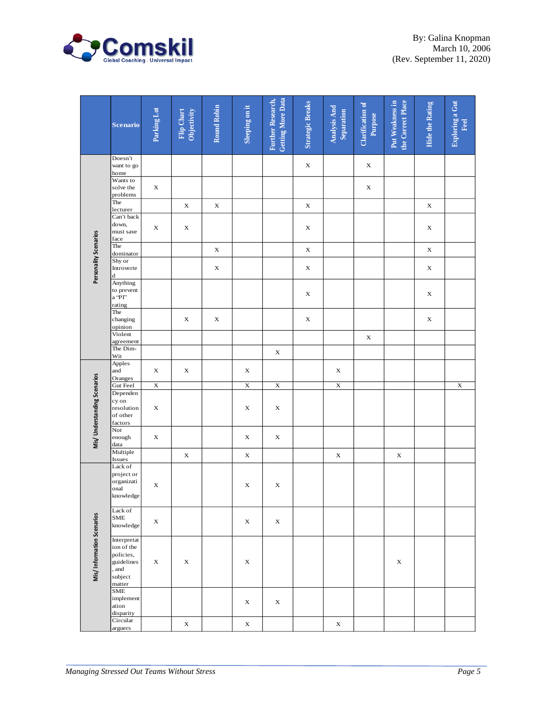

|                              | <b>Scenario</b>                                                                    | Parking Lot | Objectivity<br>Flip Chart | Round Robin | Sleeping on it | <b>Getting More Data</b><br>Further Research, | <b>Strategic Breaks</b> | Analysis And<br>Separation | <b>Clarification</b> of<br>Purpose | the Correct Place<br>Put Weakness in | <b>Hide the Rating</b> | Exploring a Gut<br>Feel |
|------------------------------|------------------------------------------------------------------------------------|-------------|---------------------------|-------------|----------------|-----------------------------------------------|-------------------------|----------------------------|------------------------------------|--------------------------------------|------------------------|-------------------------|
|                              | Doesn't<br>want to go<br>home                                                      |             |                           |             |                |                                               | X                       |                            | X                                  |                                      |                        |                         |
|                              | Wants to<br>solve the<br>problems                                                  | X           |                           |             |                |                                               |                         |                            | $\mathbf X$                        |                                      |                        |                         |
|                              | The<br>lecturer                                                                    |             | X                         | $\mathbf X$ |                |                                               | $\mathbf X$             |                            |                                    |                                      | $\mathbf X$            |                         |
|                              | Can't back<br>down,<br>must save<br>face                                           | X           | X                         |             |                |                                               | $\mathbf X$             |                            |                                    |                                      | $\mathbf X$            |                         |
|                              | The<br>dominator                                                                   |             |                           | $\mathbf X$ |                |                                               | $\mathbf X$             |                            |                                    |                                      | $\mathbf X$            |                         |
| Personality Scenarios        | Shy or<br>Introverte<br>d                                                          |             |                           | $\mathbf X$ |                |                                               | $\mathbf X$             |                            |                                    |                                      | $\mathbf X$            |                         |
|                              | Anything<br>to prevent<br>a 'PI''<br>rating                                        |             |                           |             |                |                                               | $\mathbf X$             |                            |                                    |                                      | $\mathbf X$            |                         |
|                              | The<br>changing<br>opinion                                                         |             | X                         | X           |                |                                               | X                       |                            |                                    |                                      | X                      |                         |
|                              | Violent<br>agreement                                                               |             |                           |             |                |                                               |                         |                            | $\mathbf X$                        |                                      |                        |                         |
|                              | The Dim-<br>Wit                                                                    |             |                           |             |                | $\mathbf X$                                   |                         |                            |                                    |                                      |                        |                         |
|                              | Apples<br>and<br>Oranges                                                           | X           | X                         |             | $\mathbf X$    |                                               |                         | X                          |                                    |                                      |                        |                         |
|                              | Gut Feel<br>Dependen                                                               | X           |                           |             | X              | $\mathbf X$                                   |                         | X                          |                                    |                                      |                        | X                       |
| Mis/ Understanding Scenarios | cy on<br>resolution<br>of other<br>factors                                         | $\mathbf X$ |                           |             | $\mathbf X$    | $\mathbf X$                                   |                         |                            |                                    |                                      |                        |                         |
|                              | Not<br>enough<br>data                                                              | X           |                           |             | $\mathbf X$    | X                                             |                         |                            |                                    |                                      |                        |                         |
|                              | Multiple<br>Issues                                                                 |             | $\mathbf X$               |             | X              |                                               |                         | X                          |                                    | X                                    |                        |                         |
| Mis/Information Scenarios    | Lack of<br>project or<br>organizati<br>onal<br>knowledge                           | X           |                           |             | X              | X                                             |                         |                            |                                    |                                      |                        |                         |
|                              | Lack of<br>SME<br>knowledge                                                        | X           |                           |             | $\mathbf X$    | $\mathbf X$                                   |                         |                            |                                    |                                      |                        |                         |
|                              | Interpretat<br>ion of the<br>policies,<br>guidelines<br>, and<br>subject<br>matter | X           | X                         |             | X              |                                               |                         |                            |                                    | X                                    |                        |                         |
|                              | <b>SME</b><br>implement<br>ation<br>disparity                                      |             |                           |             | X              | X                                             |                         |                            |                                    |                                      |                        |                         |
|                              | Circular<br>arguers                                                                |             | X                         |             | X              |                                               |                         | $\mathbf X$                |                                    |                                      |                        |                         |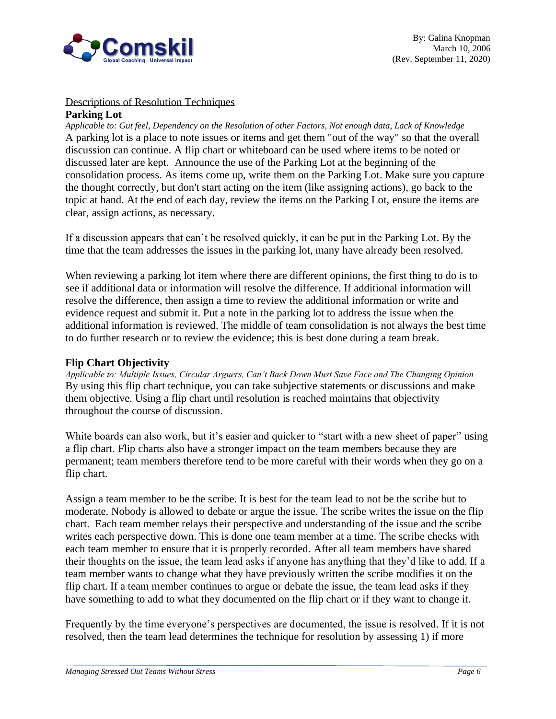

## Descriptions of Resolution Techniques

#### **Parking Lot**

*Applicable to: Gut feel, Dependency on the Resolution of other Factors, Not enough data, Lack of Knowledge* A parking lot is a place to note issues or items and get them "out of the way" so that the overall discussion can continue. A flip chart or whiteboard can be used where items to be noted or discussed later are kept. Announce the use of the Parking Lot at the beginning of the consolidation process. As items come up, write them on the Parking Lot. Make sure you capture the thought correctly, but don't start acting on the item (like assigning actions), go back to the topic at hand. At the end of each day, review the items on the Parking Lot, ensure the items are clear, assign actions, as necessary.

If a discussion appears that can't be resolved quickly, it can be put in the Parking Lot. By the time that the team addresses the issues in the parking lot, many have already been resolved.

When reviewing a parking lot item where there are different opinions, the first thing to do is to see if additional data or information will resolve the difference. If additional information will resolve the difference, then assign a time to review the additional information or write and evidence request and submit it. Put a note in the parking lot to address the issue when the additional information is reviewed. The middle of team consolidation is not always the best time to do further research or to review the evidence; this is best done during a team break.

## **Flip Chart Objectivity**

*Applicable to: Multiple Issues, Circular Arguers, Can't Back Down Must Save Face and The Changing Opinion* By using this flip chart technique, you can take subjective statements or discussions and make them objective. Using a flip chart until resolution is reached maintains that objectivity throughout the course of discussion.

White boards can also work, but it's easier and quicker to "start with a new sheet of paper" using a flip chart. Flip charts also have a stronger impact on the team members because they are permanent; team members therefore tend to be more careful with their words when they go on a flip chart.

Assign a team member to be the scribe. It is best for the team lead to not be the scribe but to moderate. Nobody is allowed to debate or argue the issue. The scribe writes the issue on the flip chart. Each team member relays their perspective and understanding of the issue and the scribe writes each perspective down. This is done one team member at a time. The scribe checks with each team member to ensure that it is properly recorded. After all team members have shared their thoughts on the issue, the team lead asks if anyone has anything that they'd like to add. If a team member wants to change what they have previously written the scribe modifies it on the flip chart. If a team member continues to argue or debate the issue, the team lead asks if they have something to add to what they documented on the flip chart or if they want to change it.

Frequently by the time everyone's perspectives are documented, the issue is resolved. If it is not resolved, then the team lead determines the technique for resolution by assessing 1) if more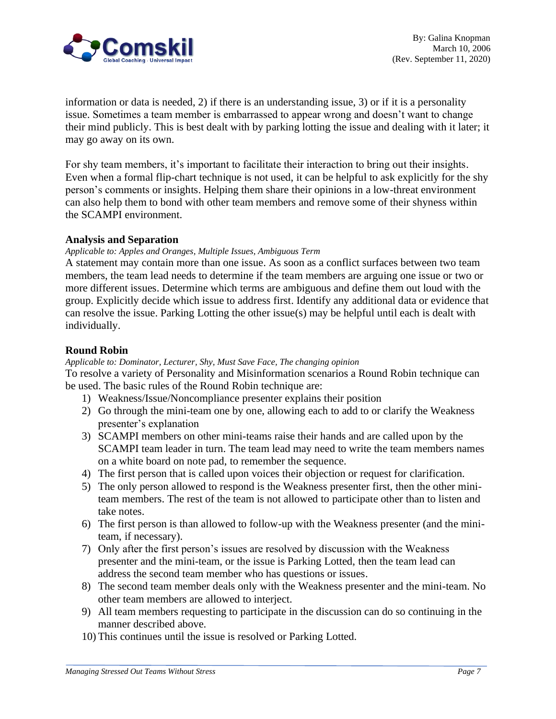

information or data is needed, 2) if there is an understanding issue, 3) or if it is a personality issue. Sometimes a team member is embarrassed to appear wrong and doesn't want to change their mind publicly. This is best dealt with by parking lotting the issue and dealing with it later; it may go away on its own.

For shy team members, it's important to facilitate their interaction to bring out their insights. Even when a formal flip-chart technique is not used, it can be helpful to ask explicitly for the shy person's comments or insights. Helping them share their opinions in a low-threat environment can also help them to bond with other team members and remove some of their shyness within the SCAMPI environment.

## **Analysis and Separation**

## *Applicable to: Apples and Oranges, Multiple Issues, Ambiguous Term*

A statement may contain more than one issue. As soon as a conflict surfaces between two team members, the team lead needs to determine if the team members are arguing one issue or two or more different issues. Determine which terms are ambiguous and define them out loud with the group. Explicitly decide which issue to address first. Identify any additional data or evidence that can resolve the issue. Parking Lotting the other issue(s) may be helpful until each is dealt with individually.

# **Round Robin**

# *Applicable to: Dominator, Lecturer, Shy, Must Save Face, The changing opinion*

To resolve a variety of Personality and Misinformation scenarios a Round Robin technique can be used. The basic rules of the Round Robin technique are:

- 1) Weakness/Issue/Noncompliance presenter explains their position
- 2) Go through the mini-team one by one, allowing each to add to or clarify the Weakness presenter's explanation
- 3) SCAMPI members on other mini-teams raise their hands and are called upon by the SCAMPI team leader in turn. The team lead may need to write the team members names on a white board on note pad, to remember the sequence.
- 4) The first person that is called upon voices their objection or request for clarification.
- 5) The only person allowed to respond is the Weakness presenter first, then the other miniteam members. The rest of the team is not allowed to participate other than to listen and take notes.
- 6) The first person is than allowed to follow-up with the Weakness presenter (and the miniteam, if necessary).
- 7) Only after the first person's issues are resolved by discussion with the Weakness presenter and the mini-team, or the issue is Parking Lotted, then the team lead can address the second team member who has questions or issues.
- 8) The second team member deals only with the Weakness presenter and the mini-team. No other team members are allowed to interject.
- 9) All team members requesting to participate in the discussion can do so continuing in the manner described above.
- 10) This continues until the issue is resolved or Parking Lotted.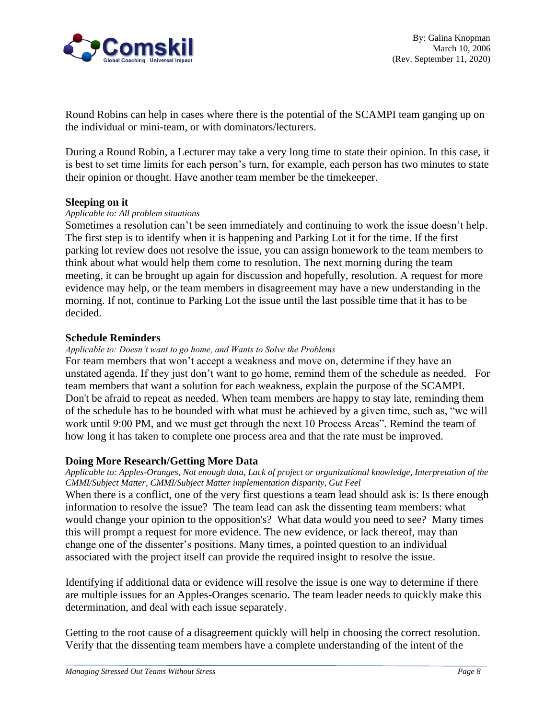

Round Robins can help in cases where there is the potential of the SCAMPI team ganging up on the individual or mini-team, or with dominators/lecturers.

During a Round Robin, a Lecturer may take a very long time to state their opinion. In this case, it is best to set time limits for each person's turn, for example, each person has two minutes to state their opinion or thought. Have another team member be the timekeeper.

## **Sleeping on it**

#### *Applicable to: All problem situations*

Sometimes a resolution can't be seen immediately and continuing to work the issue doesn't help. The first step is to identify when it is happening and Parking Lot it for the time. If the first parking lot review does not resolve the issue, you can assign homework to the team members to think about what would help them come to resolution. The next morning during the team meeting, it can be brought up again for discussion and hopefully, resolution. A request for more evidence may help, or the team members in disagreement may have a new understanding in the morning. If not, continue to Parking Lot the issue until the last possible time that it has to be decided.

## **Schedule Reminders**

#### *Applicable to: Doesn't want to go home, and Wants to Solve the Problems*

For team members that won't accept a weakness and move on, determine if they have an unstated agenda. If they just don't want to go home, remind them of the schedule as needed. For team members that want a solution for each weakness, explain the purpose of the SCAMPI. Don't be afraid to repeat as needed. When team members are happy to stay late, reminding them of the schedule has to be bounded with what must be achieved by a given time, such as, "we will work until 9:00 PM, and we must get through the next 10 Process Areas". Remind the team of how long it has taken to complete one process area and that the rate must be improved.

#### **Doing More Research/Getting More Data**

*Applicable to: Apples-Oranges, Not enough data, Lack of project or organizational knowledge, Interpretation of the CMMI/Subject Matter, CMMI/Subject Matter implementation disparity, Gut Feel*

When there is a conflict, one of the very first questions a team lead should ask is: Is there enough information to resolve the issue? The team lead can ask the dissenting team members: what would change your opinion to the opposition's? What data would you need to see? Many times this will prompt a request for more evidence. The new evidence, or lack thereof, may than change one of the dissenter's positions. Many times, a pointed question to an individual associated with the project itself can provide the required insight to resolve the issue.

Identifying if additional data or evidence will resolve the issue is one way to determine if there are multiple issues for an Apples-Oranges scenario. The team leader needs to quickly make this determination, and deal with each issue separately.

Getting to the root cause of a disagreement quickly will help in choosing the correct resolution. Verify that the dissenting team members have a complete understanding of the intent of the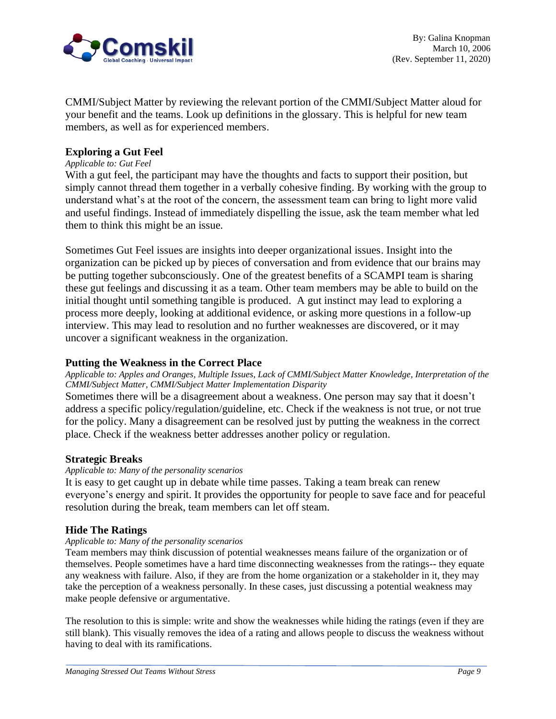

CMMI/Subject Matter by reviewing the relevant portion of the CMMI/Subject Matter aloud for your benefit and the teams. Look up definitions in the glossary. This is helpful for new team members, as well as for experienced members.

# **Exploring a Gut Feel**

#### *Applicable to: Gut Feel*

With a gut feel, the participant may have the thoughts and facts to support their position, but simply cannot thread them together in a verbally cohesive finding. By working with the group to understand what's at the root of the concern, the assessment team can bring to light more valid and useful findings. Instead of immediately dispelling the issue, ask the team member what led them to think this might be an issue.

Sometimes Gut Feel issues are insights into deeper organizational issues. Insight into the organization can be picked up by pieces of conversation and from evidence that our brains may be putting together subconsciously. One of the greatest benefits of a SCAMPI team is sharing these gut feelings and discussing it as a team. Other team members may be able to build on the initial thought until something tangible is produced. A gut instinct may lead to exploring a process more deeply, looking at additional evidence, or asking more questions in a follow-up interview. This may lead to resolution and no further weaknesses are discovered, or it may uncover a significant weakness in the organization.

## **Putting the Weakness in the Correct Place**

*Applicable to: Apples and Oranges, Multiple Issues, Lack of CMMI/Subject Matter Knowledge, Interpretation of the CMMI/Subject Matter, CMMI/Subject Matter Implementation Disparity*

Sometimes there will be a disagreement about a weakness. One person may say that it doesn't address a specific policy/regulation/guideline, etc. Check if the weakness is not true, or not true for the policy. Many a disagreement can be resolved just by putting the weakness in the correct place. Check if the weakness better addresses another policy or regulation.

## **Strategic Breaks**

## *Applicable to: Many of the personality scenarios*

It is easy to get caught up in debate while time passes. Taking a team break can renew everyone's energy and spirit. It provides the opportunity for people to save face and for peaceful resolution during the break, team members can let off steam.

#### **Hide The Ratings**

#### *Applicable to: Many of the personality scenarios*

Team members may think discussion of potential weaknesses means failure of the organization or of themselves. People sometimes have a hard time disconnecting weaknesses from the ratings-- they equate any weakness with failure. Also, if they are from the home organization or a stakeholder in it, they may take the perception of a weakness personally. In these cases, just discussing a potential weakness may make people defensive or argumentative.

The resolution to this is simple: write and show the weaknesses while hiding the ratings (even if they are still blank). This visually removes the idea of a rating and allows people to discuss the weakness without having to deal with its ramifications.